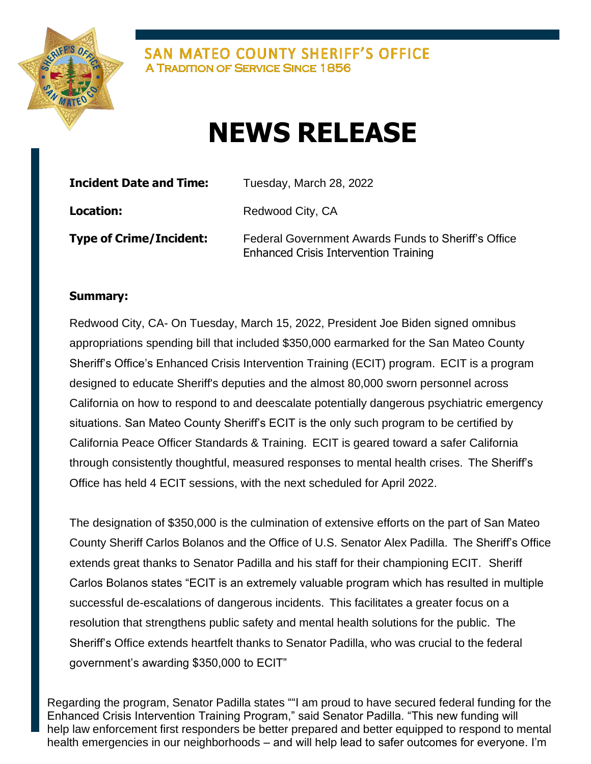

SAN MATEO COUNTY SHERIFF'S OFFICE **A TRADITION OF SERVICE SINCE 1856** 

## **NEWS RELEASE**

| <b>Incident Date and Time:</b> | Tuesday, March 28, 2022                                                                             |
|--------------------------------|-----------------------------------------------------------------------------------------------------|
| <b>Location:</b>               | Redwood City, CA                                                                                    |
| Type of Crime/Incident:        | Federal Government Awards Funds to Sheriff's Office<br><b>Enhanced Crisis Intervention Training</b> |

## **Summary:**

Redwood City, CA- On Tuesday, March 15, 2022, President Joe Biden signed omnibus appropriations spending bill that included \$350,000 earmarked for the San Mateo County Sheriff's Office's Enhanced Crisis Intervention Training (ECIT) program. ECIT is a program designed to educate Sheriff's deputies and the almost 80,000 sworn personnel across California on how to respond to and deescalate potentially dangerous psychiatric emergency situations. San Mateo County Sheriff's ECIT is the only such program to be certified by California Peace Officer Standards & Training. ECIT is geared toward a safer California through consistently thoughtful, measured responses to mental health crises. The Sheriff's Office has held 4 ECIT sessions, with the next scheduled for April 2022.

The designation of \$350,000 is the culmination of extensive efforts on the part of San Mateo County Sheriff Carlos Bolanos and the Office of U.S. Senator Alex Padilla. The Sheriff's Office extends great thanks to Senator Padilla and his staff for their championing ECIT. Sheriff Carlos Bolanos states "ECIT is an extremely valuable program which has resulted in multiple successful de-escalations of dangerous incidents. This facilitates a greater focus on a resolution that strengthens public safety and mental health solutions for the public. The Sheriff's Office extends heartfelt thanks to Senator Padilla, who was crucial to the federal government's awarding \$350,000 to ECIT"

Regarding the program, Senator Padilla states ""I am proud to have secured federal funding for the Enhanced Crisis Intervention Training Program," said Senator Padilla. "This new funding will help law enforcement first responders be better prepared and better equipped to respond to mental health emergencies in our neighborhoods – and will help lead to safer outcomes for everyone. I'm